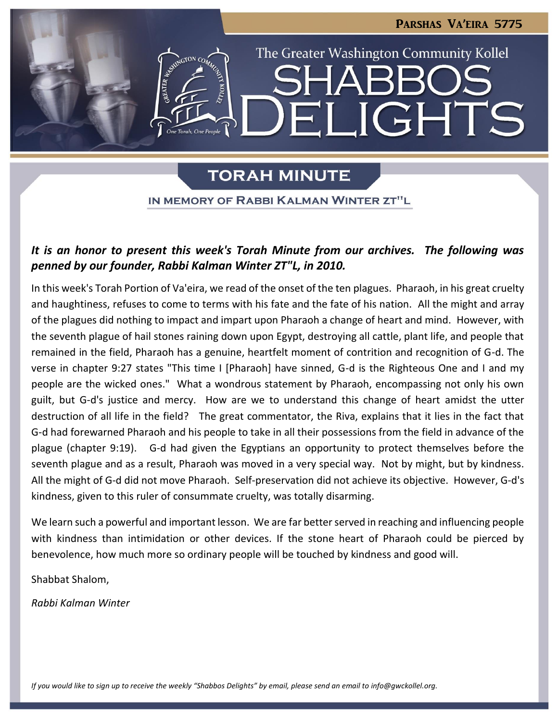**JGHTS** 

The Greater Washington Community Kollel

# **TORAH MINUTE**

IN MEMORY OF RABBI KALMAN WINTER ZT"L

### *It is an honor to present this week's Torah Minute from our archives. The following was penned by our founder, Rabbi Kalman Winter ZT"L, in 2010.*

In this week's Torah Portion of Va'eira, we read of the onset of the ten plagues. Pharaoh, in his great cruelty and haughtiness, refuses to come to terms with his fate and the fate of his nation. All the might and array of the plagues did nothing to impact and impart upon Pharaoh a change of heart and mind. However, with the seventh plague of hail stones raining down upon Egypt, destroying all cattle, plant life, and people that remained in the field, Pharaoh has a genuine, heartfelt moment of contrition and recognition of G-d. The verse in chapter 9:27 states "This time I [Pharaoh] have sinned, G-d is the Righteous One and I and my people are the wicked ones." What a wondrous statement by Pharaoh, encompassing not only his own guilt, but G-d's justice and mercy. How are we to understand this change of heart amidst the utter destruction of all life in the field? The great commentator, the Riva, explains that it lies in the fact that G-d had forewarned Pharaoh and his people to take in all their possessions from the field in advance of the plague (chapter 9:19). G-d had given the Egyptians an opportunity to protect themselves before the seventh plague and as a result, Pharaoh was moved in a very special way. Not by might, but by kindness. All the might of G-d did not move Pharaoh. Self-preservation did not achieve its objective. However, G-d's kindness, given to this ruler of consummate cruelty, was totally disarming.

We learn such a powerful and important lesson. We are far better served in reaching and influencing people with kindness than intimidation or other devices. If the stone heart of Pharaoh could be pierced by benevolence, how much more so ordinary people will be touched by kindness and good will.

Shabbat Shalom,

*Rabbi Kalman Winter*